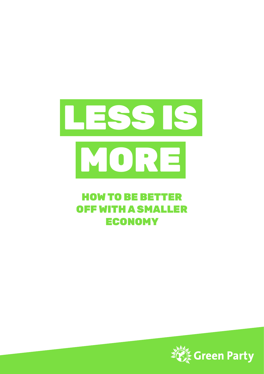

## HOW TO BE BETTER OFF WITH A SMALLER ECONOMY

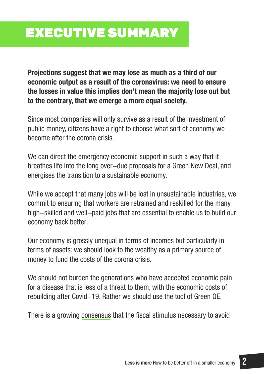# EXECUTIVE SUMMARY

**Projections suggest that we may lose as much as a third of our economic output as a result of the coronavirus: we need to ensure the losses in value this implies don't mean the majority lose out but to the contrary, that we emerge a more equal society.**

Since most companies will only survive as a result of the investment of public money, citizens have a right to choose what sort of economy we become after the corona crisis.

We can direct the emergency economic support in such a way that it breathes life into the long over-due proposals for a Green New Deal, and energises the transition to a sustainable economy.

While we accept that many jobs will be lost in unsustainable industries, we commit to ensuring that workers are retrained and reskilled for the many high-skilled and well-paid jobs that are essential to enable us to build our economy back better.

Our economy is grossly unequal in terms of incomes but particularly in terms of assets: we should look to the wealthy as a primary source of money to fund the costs of the corona crisis.

We should not burden the generations who have accepted economic pain for a disease that is less of a threat to them, with the economic costs of rebuilding after Covid-19. Rather we should use the tool of Green QE.

There is a growing [consensus](https://www.greenpeace.org.uk/wp-content/uploads/2020/06/A-green-recovery-how-we-get-there-Greenpeace-UK.pdf) that the fiscal stimulus necessary to avoid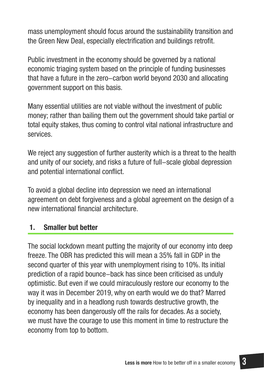mass unemployment should focus around the sustainability transition and the Green New Deal, especially electrification and buildings retrofit.

Public investment in the economy should be governed by a national economic triaging system based on the principle of funding businesses that have a future in the zero-carbon world beyond 2030 and allocating government support on this basis.

Many essential utilities are not viable without the investment of public money; rather than bailing them out the government should take partial or total equity stakes, thus coming to control vital national infrastructure and services.

We reject any suggestion of further austerity which is a threat to the health and unity of our society, and risks a future of full-scale global depression and potential international conflict.

To avoid a global decline into depression we need an international agreement on debt forgiveness and a global agreement on the design of a new international financial architecture.

### **1. Smaller but better**

The social lockdown meant putting the majority of our economy into deep freeze. The OBR has predicted this will mean a 35% fall in GDP in the second quarter of this year with unemployment rising to 10%. Its initial prediction of a rapid bounce-back has since been criticised as unduly optimistic. But even if we could miraculously restore our economy to the way it was in December 2019, why on earth would we do that? Marred by inequality and in a headlong rush towards destructive growth, the economy has been dangerously off the rails for decades. As a society, we must have the courage to use this moment in time to restructure the economy from top to bottom.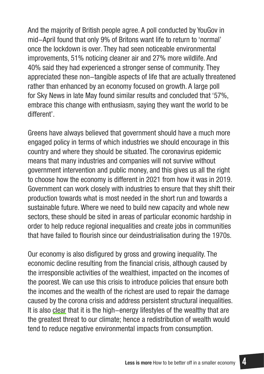And the majority of British people agree. A poll conducted by YouGov in mid-April found that only 9% of Britons want life to return to 'normal' once the lockdown is over. They had seen noticeable environmental improvements, 51% noticing cleaner air and 27% more wildlife. And 40% said they had experienced a stronger sense of community. They appreciated these non-tangible aspects of life that are actually threatened rather than enhanced by an economy focused on growth. A large poll for Sky News in late May found similar results and concluded that '57%, embrace this change with enthusiasm, saying they want the world to be different'.

Greens have always believed that government should have a much more engaged policy in terms of which industries we should encourage in this country and where they should be situated. The coronavirus epidemic means that many industries and companies will not survive without government intervention and public money, and this gives us all the right to choose how the economy is different in 2021 from how it was in 2019. Government can work closely with industries to ensure that they shift their production towards what is most needed in the short run and towards a sustainable future. Where we need to build new capacity and whole new sectors, these should be sited in areas of particular economic hardship in order to help reduce regional inequalities and create jobs in communities that have failed to flourish since our deindustrialisation during the 1970s.

Our economy is also disfigured by gross and growing inequality. The economic decline resulting from the financial crisis, although caused by the irresponsible activities of the wealthiest, impacted on the incomes of the poorest. We can use this crisis to introduce policies that ensure both the incomes and the wealth of the richest are used to repair the damage caused by the corona crisis and address persistent structural inequalities. It is also [clear](https://journals.sagepub.com/doi/full/10.1177/2329496519847491?journalCode=scua) that it is the high-energy lifestyles of the wealthy that are the greatest threat to our climate; hence a redistribution of wealth would tend to reduce negative environmental impacts from consumption.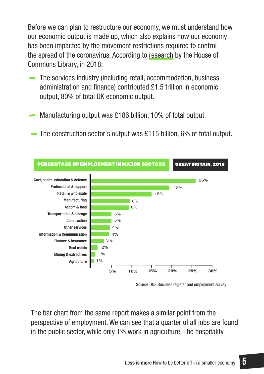Before we can plan to restructure our economy, we must understand how our economic output is made up, which also explains how our economy has been impacted by the movement restrictions required to control the spread of the coronavirus. According to [research](https://commonslibrary.parliament.uk/research-briefings/cbp-8353/) by the House of Commons Library, in 2018:

- The services industry (including retail, accommodation, business administration and finance) contributed £1.5 trillion in economic output, 80% of total UK economic output.
- Manufacturing output was £186 billion, 10% of total output.
- The construction sector's output was £115 billion, 6% of total output.



**Source** ONS Business register and employment survey

The bar chart from the same report makes a similar point from the perspective of employment. We can see that a quarter of all jobs are found in the public sector, while only 1% work in agriculture. The hospitality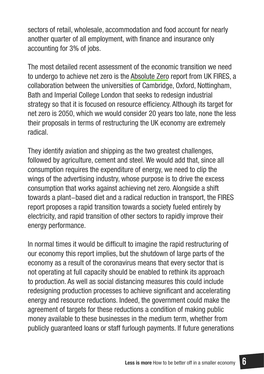sectors of retail, wholesale, accommodation and food account for nearly another quarter of all employment, with finance and insurance only accounting for 3% of jobs.

The most detailed recent assessment of the economic transition we need to undergo to achieve net zero is the [Absolute Zero](https://www.repository.cam.ac.uk/bitstream/handle/1810/299414/REP_Absolute_Zero_V3_20200505.pdf?sequence=9&isAllowed=y) report from UK FIRES, a collaboration between the universities of Cambridge, Oxford, Nottingham, Bath and Imperial College London that seeks to redesign industrial strategy so that it is focused on resource efficiency. Although its target for net zero is 2050, which we would consider 20 years too late, none the less their proposals in terms of restructuring the UK economy are extremely radical.

They identify aviation and shipping as the two greatest challenges, followed by agriculture, cement and steel. We would add that, since all consumption requires the expenditure of energy, we need to clip the wings of the advertising industry, whose purpose is to drive the excess consumption that works against achieving net zero. Alongside a shift towards a plant-based diet and a radical reduction in transport, the FIRES report proposes a rapid transition towards a society fueled entirely by electricity, and rapid transition of other sectors to rapidly improve their energy performance.

In normal times it would be difficult to imagine the rapid restructuring of our economy this report implies, but the shutdown of large parts of the economy as a result of the coronavirus means that every sector that is not operating at full capacity should be enabled to rethink its approach to production. As well as social distancing measures this could include redesigning production processes to achieve significant and accelerating energy and resource reductions. Indeed, the government could make the agreement of targets for these reductions a condition of making public money available to these businesses in the medium term, whether from publicly guaranteed loans or staff furlough payments. If future generations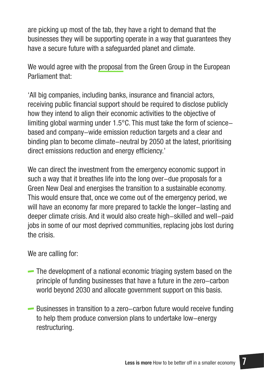are picking up most of the tab, they have a right to demand that the businesses they will be supporting operate in a way that guarantees they have a secure future with a safeguarded planet and climate.

We would agree with the [proposal](https://extranet.greens-efa.eu/public/media/file/1/6494) from the Green Group in the European Parliament that:

'All big companies, including banks, insurance and financial actors, receiving public financial support should be required to disclose publicly how they intend to align their economic activities to the objective of limiting global warming under 1.5°C. This must take the form of sciencebased and company-wide emission reduction targets and a clear and binding plan to become climate-neutral by 2050 at the latest, prioritising direct emissions reduction and energy efficiency.'

We can direct the investment from the emergency economic support in such a way that it breathes life into the long over-due proposals for a Green New Deal and energises the transition to a sustainable economy. This would ensure that, once we come out of the emergency period, we will have an economy far more prepared to tackle the longer-lasting and deeper climate crisis. And it would also create high-skilled and well-paid jobs in some of our most deprived communities, replacing jobs lost during the crisis.

We are calling for:

- The development of a national economic triaging system based on the principle of funding businesses that have a future in the zero-carbon world beyond 2030 and allocate government support on this basis.
- Businesses in transition to a zero-carbon future would receive funding to help them produce conversion plans to undertake low-energy restructuring.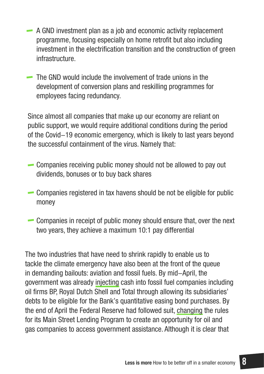- A GND investment plan as a job and economic activity replacement programme, focusing especially on home retrofit but also including investment in the electrification transition and the construction of green infrastructure.
- The GND would include the involvement of trade unions in the development of conversion plans and reskilling programmes for employees facing redundancy.

Since almost all companies that make up our economy are reliant on public support, we would require additional conditions during the period of the Covid-19 economic emergency, which is likely to last years beyond the successful containment of the virus. Namely that:

- Companies receiving public money should not be allowed to pay out dividends, bonuses or to buy back shares
- Companies registered in tax havens should be not be eligible for public money
- Companies in receipt of public money should ensure that, over the next two years, they achieve a maximum 10:1 pay differential

The two industries that have need to shrink rapidly to enable us to tackle the climate emergency have also been at the front of the queue in demanding bailouts: aviation and fossil fuels. By mid-April, the government was already [injecting](https://www.theguardian.com/business/2020/apr/16/bank-of-england-failing-climate-with-covid-19-stimulus-programme-oil-firms-debt-bond-governor) cash into fossil fuel companies including oil firms BP, Royal Dutch Shell and Total through allowing its subsidiaries' debts to be eligible for the Bank's quantitative easing bond purchases. By the end of April the Federal Reserve had followed suit, [changing](https://www.bloomberg.com/news/articles/2020-04-30/fed-opens-door-for-oil-company-loans-after-lobbying-campaign) the rules for its Main Street Lending Program to create an opportunity for oil and gas companies to access government assistance. Although it is clear that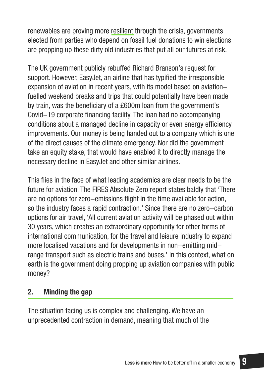renewables are proving more [resilient](https://www.independent.co.uk/environment/fossil-fuel-decline-coronavirus-iea-report-oil-coal-gas-renewables-climate-change-a9492136.html) through the crisis, governments elected from parties who depend on fossil fuel donations to win elections are propping up these dirty old industries that put all our futures at risk.

The UK government publicly rebuffed Richard Branson's request for support. However, EasyJet, an airline that has typified the irresponsible expansion of aviation in recent years, with its model based on aviationfuelled weekend breaks and trips that could potentially have been made by train, was the beneficiary of a £600m loan from the government's Covid-19 corporate financing facility. The loan had no accompanying conditions about a managed decline in capacity or even energy efficiency improvements. Our money is being handed out to a company which is one of the direct causes of the climate emergency. Nor did the government take an equity stake, that would have enabled it to directly manage the necessary decline in EasyJet and other similar airlines.

This flies in the face of what leading academics are clear needs to be the future for aviation. The FIRES Absolute Zero report states baldly that 'There are no options for zero-emissions flight in the time available for action, so the industry faces a rapid contraction.' Since there are no zero-carbon options for air travel, 'All current aviation activity will be phased out within 30 years, which creates an extraordinary opportunity for other forms of international communication, for the travel and leisure industry to expand more localised vacations and for developments in non-emitting midrange transport such as electric trains and buses.' In this context, what on earth is the government doing propping up aviation companies with public money?

### **2. Minding the gap**

The situation facing us is complex and challenging. We have an unprecedented contraction in demand, meaning that much of the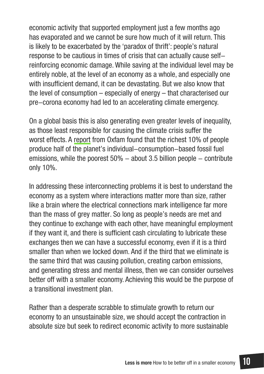economic activity that supported employment just a few months ago has evaporated and we cannot be sure how much of it will return. This is likely to be exacerbated by the 'paradox of thrift': people's natural response to be cautious in times of crisis that can actually cause selfreinforcing economic damage. While saving at the individual level may be entirely noble, at the level of an economy as a whole, and especially one with insufficient demand, it can be devastating. But we also know that the level of consumption – especially of energy – that characterised our pre-corona economy had led to an accelerating climate emergency.

On a global basis this is also generating even greater levels of inequality, as those least responsible for causing the climate crisis suffer the worst effects. A [report](https://ourworld.unu.edu/en/the-worlds-richest-people-also-emit-the-most-carbon) from Oxfam found that the richest 10% of people produce half of the planet's individual-consumption-based fossil fuel emissions, while the poorest  $50\%$  – about 3.5 billion people – contribute only 10%.

In addressing these interconnecting problems it is best to understand the economy as a system where interactions matter more than size, rather like a brain where the electrical connections mark intelligence far more than the mass of grey matter. So long as people's needs are met and they continue to exchange with each other, have meaningful employment if they want it, and there is sufficient cash circulating to lubricate these exchanges then we can have a successful economy, even if it is a third smaller than when we locked down. And if the third that we eliminate is the same third that was causing pollution, creating carbon emissions, and generating stress and mental illness, then we can consider ourselves better off with a smaller economy. Achieving this would be the purpose of a transitional investment plan.

Rather than a desperate scrabble to stimulate growth to return our economy to an unsustainable size, we should accept the contraction in absolute size but seek to redirect economic activity to more sustainable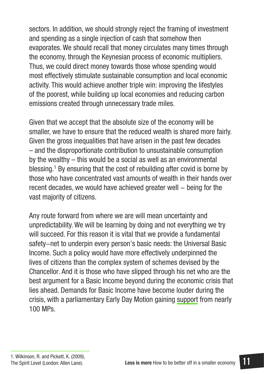sectors. In addition, we should strongly reject the framing of investment and spending as a single injection of cash that somehow then evaporates. We should recall that money circulates many times through the economy, through the Keynesian process of economic multipliers. Thus, we could direct money towards those whose spending would most effectively stimulate sustainable consumption and local economic activity. This would achieve another triple win: improving the lifestyles of the poorest, while building up local economies and reducing carbon emissions created through unnecessary trade miles.

Given that we accept that the absolute size of the economy will be smaller, we have to ensure that the reduced wealth is shared more fairly. Given the gross inequalities that have arisen in the past few decades – and the disproportionate contribution to unsustainable consumption by the wealthy – this would be a social as well as an environmental blessing.<sup>1</sup> By ensuring that the cost of rebuilding after covid is borne by those who have concentrated vast amounts of wealth in their hands over recent decades, we would have achieved greater well – being for the vast majority of citizens.

Any route forward from where we are will mean uncertainty and unpredictability. We will be learning by doing and not everything we try will succeed. For this reason it is vital that we provide a fundamental safety-net to underpin every person's basic needs: the Universal Basic Income. Such a policy would have more effectively underpinned the lives of citizens than the complex system of schemes devised by the Chancellor. And it is those who have slipped through his net who are the best argument for a Basic Income beyond during the economic crisis that lies ahead. Demands for Basic Income have become louder during the crisis, with a parliamentary Early Day Motion gaining [support](https://edm.parliament.uk/early-day-motion/56765/temporary-universal-basic-income) from nearly 100 MPs.

<sup>1.</sup> Wilkinson, R. and Pickett, K. (2009), The Spirit Level (London: Allen Lane).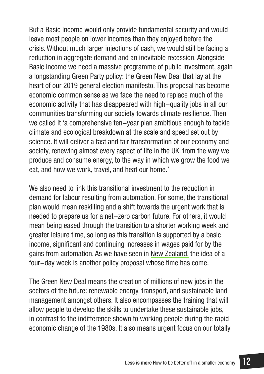But a Basic Income would only provide fundamental security and would leave most people on lower incomes than they enjoyed before the crisis. Without much larger injections of cash, we would still be facing a reduction in aggregate demand and an inevitable recession. Alongside Basic Income we need a massive programme of public investment, again a longstanding Green Party policy: the Green New Deal that lay at the heart of our 2019 general election manifesto. This proposal has become economic common sense as we face the need to replace much of the economic activity that has disappeared with high-quality jobs in all our communities transforming our society towards climate resilience. Then we called it 'a comprehensive ten-year plan ambitious enough to tackle climate and ecological breakdown at the scale and speed set out by science. It will deliver a fast and fair transformation of our economy and society, renewing almost every aspect of life in the UK: from the way we produce and consume energy, to the way in which we grow the food we eat, and how we work, travel, and heat our home.'

We also need to link this transitional investment to the reduction in demand for labour resulting from automation. For some, the transitional plan would mean reskilling and a shift towards the urgent work that is needed to prepare us for a net-zero carbon future. For others, it would mean being eased through the transition to a shorter working week and greater leisure time, so long as this transition is supported by a basic income, significant and continuing increases in wages paid for by the gains from automation. As we have seen in [New Zealand,](https://www.theguardian.com/world/2020/may/20/jacinda-ardern-flags-four-day-working-week-as-way-to-rebuild-new-zealand-after-covid-19) the idea of a four-day week is another policy proposal whose time has come.

The Green New Deal means the creation of millions of new jobs in the sectors of the future: renewable energy, transport, and sustainable land management amongst others. It also encompasses the training that will allow people to develop the skills to undertake these sustainable jobs, in contrast to the indifference shown to working people during the rapid economic change of the 1980s. It also means urgent focus on our totally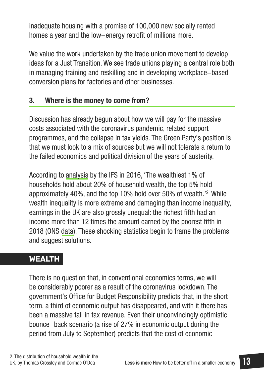inadequate housing with a promise of 100,000 new socially rented homes a year and the low-energy retrofit of millions more.

We value the work undertaken by the trade union movement to develop ideas for a Just Transition. We see trade unions playing a central role both in managing training and reskilling and in developing workplace-based conversion plans for factories and other businesses.

### **3. Where is the money to come from?**

Discussion has already begun about how we will pay for the massive costs associated with the coronavirus pandemic, related support programmes, and the collapse in tax yields. The Green Party's position is that we must look to a mix of sources but we will not tolerate a return to the failed economics and political division of the years of austerity.

According to [analysis](https://www.ifs.org.uk/publications/8239) by the IFS in 2016, 'The wealthiest 1% of households hold about 20% of household wealth, the top 5% hold approximately 40%, and the top 10% hold over 50% of wealth.'2 While wealth inequality is more extreme and damaging than income inequality, earnings in the UK are also grossly unequal: the richest fifth had an income more than 12 times the amount earned by the poorest fifth in 2018 (ONS [data\)](https://www.ons.gov.uk/peoplepopulationandcommunity/personalandhouseholdfinances/incomeandwealth/datasets/householddisposableincomeandinequality). These shocking statistics begin to frame the problems and suggest solutions.

### **WEALTH**

There is no question that, in conventional economics terms, we will be considerably poorer as a result of the coronavirus lockdown. The government's Office for Budget Responsibility predicts that, in the short term, a third of economic output has disappeared, and with it there has been a massive fall in tax revenue. Even their unconvincingly optimistic bounce-back scenario (a rise of 27% in economic output during the period from July to September) predicts that the cost of economic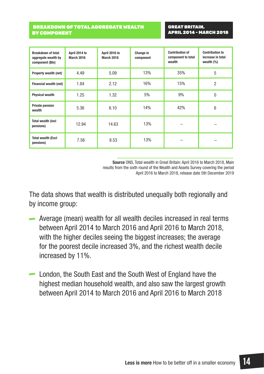#### BREAKDOWN OF TOTAL AGGREGATE WEALTH BY COMPONENT

GREAT BRITAIN, APRIL 2014 - MARCH 2018

| <b>Breakdown of total</b><br>aggregate wealth by<br>component (\$tn) | April 2014 to<br><b>March 2016</b> | April 2016 to<br><b>March 2018</b> | Change in<br>component | <b>Contribution of</b><br>component to total<br>wealth | <b>Contribution to</b><br>increase in total<br>wealth $(\%)$ |
|----------------------------------------------------------------------|------------------------------------|------------------------------------|------------------------|--------------------------------------------------------|--------------------------------------------------------------|
| <b>Property wealth (net)</b>                                         | 4.49                               | 5.09                               | 13%                    | 35%                                                    | 5                                                            |
| Financial wealth (net)                                               | 1.84                               | 2.12                               | 16%                    | 15%                                                    | 2                                                            |
| <b>Physical wealth</b>                                               | 1.25                               | 1.32                               | 5%                     | 9%                                                     | $\mathbf{0}$                                                 |
| <b>Private pension</b><br>wealth                                     | 5.36                               | 6.10                               | 14%                    | 42%                                                    | $6\,$                                                        |
| <b>Total wealth (incl</b><br>pensions)                               | 12.94                              | 14.63                              | 13%                    |                                                        |                                                              |
| <b>Total wealth (Excl</b><br>pensions)                               | 7.58                               | 8.53                               | 13%                    |                                                        |                                                              |

**Source** ONS, Total wealth in Great Britain: April 2016 to March 2018, Main results from the sixth round of the Wealth and Assets Survey covering the period April 2016 to March 2018, release date 5th December 2019

The data shows that wealth is distributed unequally both regionally and by income group:

- Average (mean) wealth for all wealth deciles increased in real terms between April 2014 to March 2016 and April 2016 to March 2018, with the higher deciles seeing the biggest increases; the average for the poorest decile increased 3%, and the richest wealth decile increased by 11%.
- London, the South East and the South West of England have the highest median household wealth, and also saw the largest growth between April 2014 to March 2016 and April 2016 to March 2018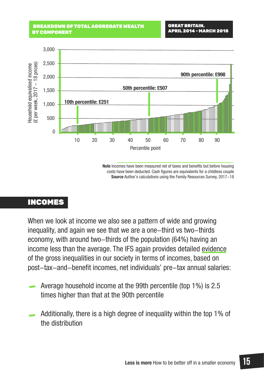#### BREAKDOWN OF TOTAL AGGREGATE WEALTH BY COMPONENT



**Note** Incomes have been measured net of taxes and benefits but before housing costs have been deducted. Cash figures are equivalents for a childless couple **Source** Author's calculations using the Family Resources Survey, 2017-18

### INCOMES

When we look at income we also see a pattern of wide and growing inequality, and again we see that we are a one-third vs two-thirds economy, with around two-thirds of the population (64%) having an income less than the average. The IFS again provides detailed [evidence](https://www.ifs.org.uk/uploads/Living_standards%2C_poverty_and_inequality_in_the_UK_2019_Chapter_2.pdf) of the gross inequalities in our society in terms of incomes, based on post-tax-and-benefit incomes, net individuals' pre-tax annual salaries:

- Average household income at the 99th percentile (top 1%) is 2.5 times higher than that at the 90th percentile
- Additionally, there is a high degree of inequality within the top 1% of the distribution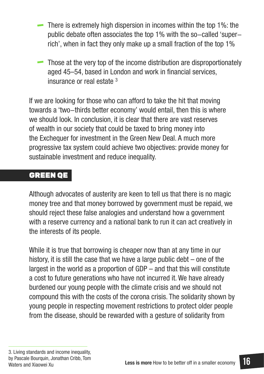- There is extremely high dispersion in incomes within the top 1%: the public debate often associates the top 1% with the so-called 'superrich', when in fact they only make up a small fraction of the top 1%
- Those at the very top of the income distribution are disproportionately aged 45–54, based in London and work in financial services, insurance or real estate 3

If we are looking for those who can afford to take the hit that moving towards a 'two-thirds better economy' would entail, then this is where we should look. In conclusion, it is clear that there are vast reserves of wealth in our society that could be taxed to bring money into the Exchequer for investment in the Green New Deal. A much more progressive tax system could achieve two objectives: provide money for sustainable investment and reduce inequality.

### GREEN QE

Although advocates of austerity are keen to tell us that there is no magic money tree and that money borrowed by government must be repaid, we should reject these false analogies and understand how a government with a reserve currency and a national bank to run it can act creatively in the interests of its people.

While it is true that borrowing is cheaper now than at any time in our history, it is still the case that we have a large public debt  $-$  one of the largest in the world as a proportion of GDP – and that this will constitute a cost to future generations who have not incurred it. We have already burdened our young people with the climate crisis and we should not compound this with the costs of the corona crisis. The solidarity shown by young people in respecting movement restrictions to protect older people from the disease, should be rewarded with a gesture of solidarity from

<sup>3.</sup> Living standards and income inequality, by Pascale Bourquin, Jonathan Cribb, Tom Waters and Xiaowei Xu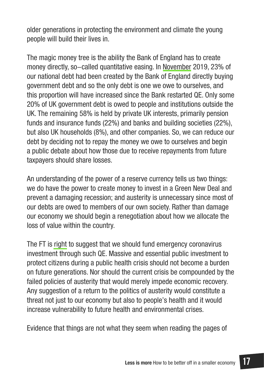older generations in protecting the environment and climate the young people will build their lives in.

The magic money tree is the ability the Bank of England has to create money directly, so-called quantitative easing. In [November](https://jubileedebt.org.uk/wp-content/uploads/2019/11/10-key-facts-on-debt-in-the-UK_Update_11.19.pdf) 2019, 23% of our national debt had been created by the Bank of England directly buying government debt and so the only debt is one we owe to ourselves, and this proportion will have increased since the Bank restarted QE. Only some 20% of UK government debt is owed to people and institutions outside the UK. The remaining 58% is held by private UK interests, primarily pension funds and insurance funds (22%) and banks and building societies (22%), but also UK households (8%), and other companies. So, we can reduce our debt by deciding not to repay the money we owe to ourselves and begin a public debate about how those due to receive repayments from future taxpayers should share losses.

An understanding of the power of a reserve currency tells us two things: we do have the power to create money to invest in a Green New Deal and prevent a damaging recession; and austerity is unnecessary since most of our debts are owed to members of our own society. Rather than damage our economy we should begin a renegotiation about how we allocate the loss of value within the country.

The FT is [right](https://www.ft.com/content/fd1d35c4-7804-11ea-9840-1b8019d9a987) to suggest that we should fund emergency coronavirus investment through such QE. Massive and essential public investment to protect citizens during a public health crisis should not become a burden on future generations. Nor should the current crisis be compounded by the failed policies of austerity that would merely impede economic recovery. Any suggestion of a return to the politics of austerity would constitute a threat not just to our economy but also to people's health and it would increase vulnerability to future health and environmental crises.

Evidence that things are not what they seem when reading the pages of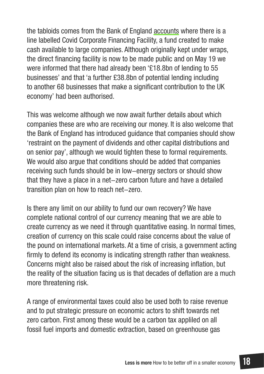the tabloids comes from the Bank of England [accounts](https://www.bankofengland.co.uk/-/media/boe/files/weekly-report/2020/22-april-2020.pdf?la=en&hash=31D83654721FAEA3ED88FBE9BF2E334F121C3DF7) where there is a line labelled Covid Corporate Financing Facility, a fund created to make cash available to large companies. Although originally kept under wraps, the direct financing facility is now to be made public and on May 19 we were informed that there had already been '£18.8bn of lending to 55 businesses' and that 'a further £38.8bn of potential lending including to another 68 businesses that make a significant contribution to the UK economy' had been authorised.

This was welcome although we now await further details about which companies these are who are receiving our money. It is also welcome that the Bank of England has introduced guidance that companies should show 'restraint on the payment of dividends and other capital distributions and on senior pay', although we would tighten these to formal requirements. We would also argue that conditions should be added that companies receiving such funds should be in low-energy sectors or should show that they have a place in a net-zero carbon future and have a detailed transition plan on how to reach net-zero.

Is there any limit on our ability to fund our own recovery? We have complete national control of our currency meaning that we are able to create currency as we need it through quantitative easing. In normal times, creation of currency on this scale could raise concerns about the value of the pound on international markets. At a time of crisis, a government acting firmly to defend its economy is indicating strength rather than weakness. Concerns might also be raised about the risk of increasing inflation, but the reality of the situation facing us is that decades of deflation are a much more threatening risk.

A range of environmental taxes could also be used both to raise revenue and to put strategic pressure on economic actors to shift towards net zero carbon. First among these would be a carbon tax appliled on all fossil fuel imports and domestic extraction, based on greenhouse gas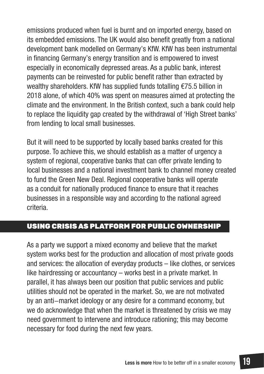emissions produced when fuel is burnt and on imported energy, based on its embedded emissions. The UK would also benefit greatly from a national development bank modelled on Germany's KfW. KfW has been instrumental in financing Germany's energy transition and is empowered to invest especially in economically depressed areas. As a public bank, interest payments can be reinvested for public benefit rather than extracted by wealthy shareholders. KfW has supplied funds totalling €75.5 billion in 2018 alone, of which 40% was spent on measures aimed at protecting the climate and the environment. In the British context, such a bank could help to replace the liquidity gap created by the withdrawal of 'High Street banks' from lending to local small businesses.

But it will need to be supported by locally based banks created for this purpose. To achieve this, we should establish as a matter of urgency a system of regional, cooperative banks that can offer private lending to local businesses and a national investment bank to channel money created to fund the Green New Deal. Regional cooperative banks will operate as a conduit for nationally produced finance to ensure that it reaches businesses in a responsible way and according to the national agreed criteria.

### USING CRISIS AS PLATFORM FOR PUBLIC OWNERSHIP

As a party we support a mixed economy and believe that the market system works best for the production and allocation of most private goods and services: the allocation of everyday products – like clothes, or services like hairdressing or accountancy – works best in a private market. In parallel, it has always been our position that public services and public utilities should not be operated in the market. So, we are not motivated by an anti-market ideology or any desire for a command economy, but we do acknowledge that when the market is threatened by crisis we may need government to intervene and introduce rationing; this may become necessary for food during the next few years.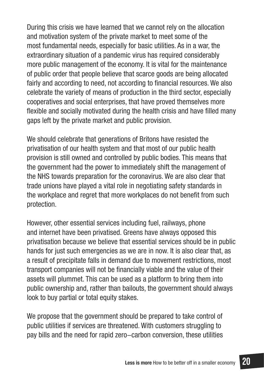During this crisis we have learned that we cannot rely on the allocation and motivation system of the private market to meet some of the most fundamental needs, especially for basic utilities. As in a war, the extraordinary situation of a pandemic virus has required considerably more public management of the economy. It is vital for the maintenance of public order that people believe that scarce goods are being allocated fairly and according to need, not according to financial resources. We also celebrate the variety of means of production in the third sector, especially cooperatives and social enterprises, that have proved themselves more flexible and socially motivated during the health crisis and have filled many gaps left by the private market and public provision.

We should celebrate that generations of Britons have resisted the privatisation of our health system and that most of our public health provision is still owned and controlled by public bodies. This means that the government had the power to immediately shift the management of the NHS towards preparation for the coronavirus. We are also clear that trade unions have played a vital role in negotiating safety standards in the workplace and regret that more workplaces do not benefit from such protection.

However, other essential services including fuel, railways, phone and internet have been privatised. Greens have always opposed this privatisation because we believe that essential services should be in public hands for just such emergencies as we are in now. It is also clear that, as a result of precipitate falls in demand due to movement restrictions, most transport companies will not be financially viable and the value of their assets will plummet. This can be used as a platform to bring them into public ownership and, rather than bailouts, the government should always look to buy partial or total equity stakes.

We propose that the government should be prepared to take control of public utilities if services are threatened. With customers struggling to pay bills and the need for rapid zero-carbon conversion, these utilities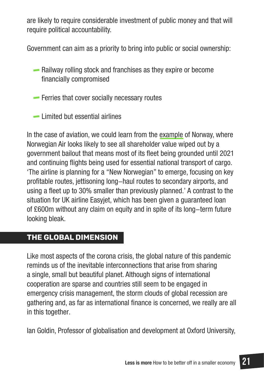are likely to require considerable investment of public money and that will require political accountability.

Government can aim as a priority to bring into public or social ownership:

Railway rolling stock and franchises as they expire or become financially compromised

- **Ferries that cover socially necessary routes**
- Limited but essential airlines

In the case of aviation, we could learn from the [example](https://www.theguardian.com/business/2020/apr/27/norwegian-air-says-most-of-fleet-will-stay-grounded-until-2021-due-to-coronavirus) of Norway, where Norwegian Air looks likely to see all shareholder value wiped out by a government bailout that means most of its fleet being grounded until 2021 and continuing flights being used for essential national transport of cargo. 'The airline is planning for a "New Norwegian" to emerge, focusing on key profitable routes, jettisoning long-haul routes to secondary airports, and using a fleet up to 30% smaller than previously planned.' A contrast to the situation for UK airline Easyjet, which has been given a guaranteed loan of £600m without any claim on equity and in spite of its long-term future looking bleak.

### **THE GLOBAL DIMENSION**

Like most aspects of the corona crisis, the global nature of this pandemic reminds us of the inevitable interconnections that arise from sharing a single, small but beautiful planet. Although signs of international cooperation are sparse and countries still seem to be engaged in emergency crisis management, the storm clouds of global recession are gathering and, as far as international finance is concerned, we really are all in this together.

Ian Goldin, Professor of globalisation and development at Oxford University,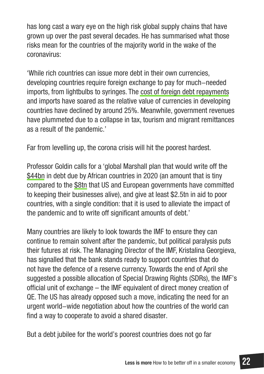has long cast a wary eye on the high risk global supply chains that have grown up over the past several decades. He has summarised what those risks mean for the countries of the majority world in the wake of the coronavirus:

'While rich countries can issue more debt in their own currencies, developing countries require foreign exchange to pay for much-needed imports, from lightbulbs to syringes. The [cost of foreign debt repayments](https://www.theguardian.com/business/2020/apr/07/world-must-combat-looming-debt-meltdown-in-developing-countries-covid-19)  and imports have soared as the relative value of currencies in developing countries have declined by around 25%. Meanwhile, government revenues have plummeted due to a collapse in tax, tourism and migrant remittances as a result of the pandemic.'

Far from levelling up, the corona crisis will hit the poorest hardest.

Professor Goldin calls for a 'global Marshall plan that would write off the [\\$44bn](https://www.theguardian.com/world/2020/apr/07/coronavirus-global-leaders-urge-g20-to-tackle-twin-health-and-economic-crises) in debt due by African countries in 2020 (an amount that is tiny compared to the [\\$8tn](https://www.economist.com/leaders/2020/04/04/bail-outs-are-inevitable-and-toxic) that US and European governments have committed to keeping their businesses alive), and give at least \$2.5tn in aid to poor countries, with a single condition: that it is used to alleviate the impact of the pandemic and to write off significant amounts of debt.'

Many countries are likely to look towards the IMF to ensure they can continue to remain solvent after the pandemic, but political paralysis puts their futures at risk. The Managing Director of the IMF, Kristalina Georgieva, has signalled that the bank stands ready to support countries that do not have the defence of a reserve currency. Towards the end of April she suggested a possible allocation of Special Drawing Rights (SDRs), the IMF's official unit of exchange – the IMF equivalent of direct money creation of QE. The US has already opposed such a move, indicating the need for an urgent world-wide negotiation about how the countries of the world can find a way to cooperate to avoid a shared disaster.

But a debt jubilee for the world's poorest countries does not go far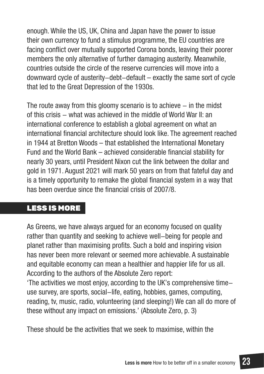enough. While the US, UK, China and Japan have the power to issue their own currency to fund a stimulus programme, the EU countries are facing conflict over mutually supported Corona bonds, leaving their poorer members the only alternative of further damaging austerity. Meanwhile, countries outside the circle of the reserve currencies will move into a downward cycle of austerity-debt-default – exactly the same sort of cycle that led to the Great Depression of the 1930s.

The route away from this gloomy scenario is to achieve  $-$  in the midst of this crisis – what was achieved in the middle of World War II: an international conference to establish a global agreement on what an international financial architecture should look like. The agreement reached in 1944 at Bretton Woods – that established the International Monetary Fund and the World Bank – achieved considerable financial stability for nearly 30 years, until President Nixon cut the link between the dollar and gold in 1971. August 2021 will mark 50 years on from that fateful day and is a timely opportunity to remake the global financial system in a way that has been overdue since the financial crisis of 2007/8.

### LESS IS MORE

As Greens, we have always argued for an economy focused on quality rather than quantity and seeking to achieve well-being for people and planet rather than maximising profits. Such a bold and inspiring vision has never been more relevant or seemed more achievable. A sustainable and equitable economy can mean a healthier and happier life for us all. According to the authors of the Absolute Zero report:

'The activities we most enjoy, according to the UK's comprehensive timeuse survey, are sports, social-life, eating, hobbies, games, computing, reading, tv, music, radio, volunteering (and sleeping!) We can all do more of these without any impact on emissions.' (Absolute Zero, p. 3)

These should be the activities that we seek to maximise, within the